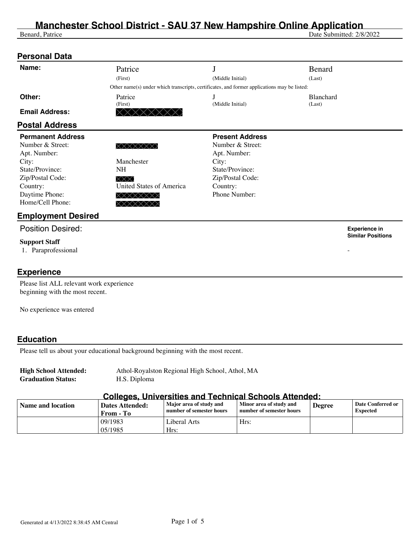## **Manchester School District - SAU 37 New Hampshire Online Application**

Benard, Patrice Date Submitted: 2/8/2022

| <b>Personal Data</b>                     |                                        |                                                                                             |           |                                                  |
|------------------------------------------|----------------------------------------|---------------------------------------------------------------------------------------------|-----------|--------------------------------------------------|
| Name:                                    | Patrice                                |                                                                                             | Benard    |                                                  |
|                                          | (First)                                | (Middle Initial)                                                                            | (Last)    |                                                  |
|                                          |                                        | Other name(s) under which transcripts, certificates, and former applications may be listed: |           |                                                  |
| Other:                                   | Patrice                                | J                                                                                           | Blanchard |                                                  |
|                                          | (First)                                | (Middle Initial)                                                                            | (Last)    |                                                  |
| <b>Email Address:</b>                    | $\times$                               |                                                                                             |           |                                                  |
| <b>Postal Address</b>                    |                                        |                                                                                             |           |                                                  |
| <b>Permanent Address</b>                 |                                        | <b>Present Address</b>                                                                      |           |                                                  |
| Number & Street:                         | XXXXXXX                                | Number & Street:                                                                            |           |                                                  |
| Apt. Number:                             |                                        | Apt. Number:                                                                                |           |                                                  |
| City:                                    | Manchester                             | City:                                                                                       |           |                                                  |
| State/Province:                          | <b>NH</b>                              | State/Province:                                                                             |           |                                                  |
| Zip/Postal Code:                         | $\times\!\!\times\!\!\times$           | Zip/Postal Code:                                                                            |           |                                                  |
| Country:                                 | <b>United States of America</b>        | Country:                                                                                    |           |                                                  |
| Daytime Phone:                           | XXXXXXX                                | Phone Number:                                                                               |           |                                                  |
| Home/Cell Phone:                         | $\times\times\times\times\times\times$ |                                                                                             |           |                                                  |
| <b>Employment Desired</b>                |                                        |                                                                                             |           |                                                  |
| <b>Position Desired:</b>                 |                                        |                                                                                             |           | <b>Experience in</b><br><b>Similar Positions</b> |
| <b>Support Staff</b>                     |                                        |                                                                                             |           |                                                  |
| 1. Paraprofessional                      |                                        |                                                                                             |           |                                                  |
|                                          |                                        |                                                                                             |           |                                                  |
| <b>Experience</b>                        |                                        |                                                                                             |           |                                                  |
| Please list ALL relevant work experience |                                        |                                                                                             |           |                                                  |
| beginning with the most recent.          |                                        |                                                                                             |           |                                                  |
| No experience was entered                |                                        |                                                                                             |           |                                                  |
|                                          |                                        |                                                                                             |           |                                                  |
|                                          |                                        |                                                                                             |           |                                                  |

#### **Education**

Please tell us about your educational background beginning with the most recent.

**Graduation Status:** H.S. Diploma

**High School Attended:** Athol-Royalston Regional High School, Athol, MA

#### **Colleges, Universities and Technical Schools Attended:**

| Name and location | ---------<br>Dates Attended:<br>From - To | Major area of study and<br>number of semester hours | Minor area of study and<br>number of semester hours | <b>Degree</b> | <b>Date Conferred or</b><br><b>Expected</b> |
|-------------------|-------------------------------------------|-----------------------------------------------------|-----------------------------------------------------|---------------|---------------------------------------------|
|                   | 09/1983<br>05/1985                        | Liberal Arts<br>Hrs:                                | Hrs:                                                |               |                                             |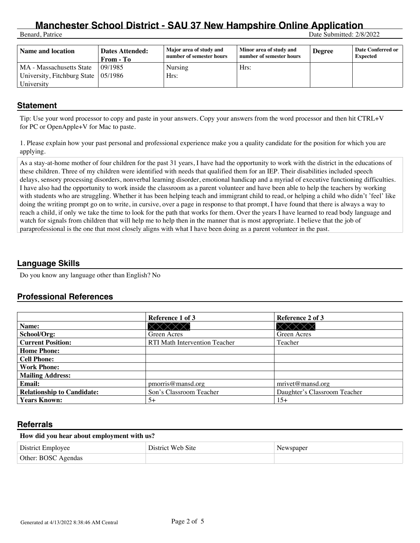# **Manchester School District - SAU 37 New Hampshire Online Application**<br>Benard, Patrice Date Submitted: 2/8/

Date Submitted: 2/8/2022

| Name and location                           | Dates Attended:<br>From - To | Major area of study and<br>number of semester hours | Minor area of study and<br>number of semester hours | <b>Degree</b> | <b>Date Conferred or</b><br><b>Expected</b> |
|---------------------------------------------|------------------------------|-----------------------------------------------------|-----------------------------------------------------|---------------|---------------------------------------------|
| MA - Massachusetts State                    | 09/1985                      | Nursing                                             | Hrs:                                                |               |                                             |
| University, Fitchburg State $\vert$ 05/1986 |                              | Hrs:                                                |                                                     |               |                                             |
| University                                  |                              |                                                     |                                                     |               |                                             |

#### **Statement**

Tip: Use your word processor to copy and paste in your answers. Copy your answers from the word processor and then hit CTRL+V for PC or OpenApple+V for Mac to paste.

1. Please explain how your past personal and professional experience make you a quality candidate for the position for which you are applying.

As a stay-at-home mother of four children for the past 31 years, I have had the opportunity to work with the district in the educations of these children. Three of my children were identified with needs that qualified them for an IEP. Their disabilities included speech delays, sensory processing disorders, nonverbal learning disorder, emotional handicap and a myriad of executive functioning difficulties. I have also had the opportunity to work inside the classroom as a parent volunteer and have been able to help the teachers by working with students who are struggling. Whether it has been helping teach and immigrant child to read, or helping a child who didn't 'feel' like doing the writing prompt go on to write, in cursive, over a page in response to that prompt, I have found that there is always a way to reach a child, if only we take the time to look for the path that works for them. Over the years I have learned to read body language and watch for signals from children that will help me to help then in the manner that is most appropriate. I believe that the job of paraprofessional is the one that most closely aligns with what I have been doing as a parent volunteer in the past.

#### **Language Skills**

Do you know any language other than English? No

#### **Professional References**

|                                   | Reference 1 of 3              | Reference 2 of 3             |
|-----------------------------------|-------------------------------|------------------------------|
| Name:                             |                               |                              |
| School/Org:                       | Green Acres                   | Green Acres                  |
| <b>Current Position:</b>          | RTI Math Intervention Teacher | Teacher                      |
| <b>Home Phone:</b>                |                               |                              |
| <b>Cell Phone:</b>                |                               |                              |
| <b>Work Phone:</b>                |                               |                              |
| <b>Mailing Address:</b>           |                               |                              |
| <b>Email:</b>                     | pmorris@mansd.org             | mrvet@mansd.org              |
| <b>Relationship to Candidate:</b> | Son's Classroom Teacher       | Daughter's Classroom Teacher |
| <b>Years Known:</b>               | $5+$                          | $15+$                        |

#### **Referrals**

#### **How did you hear about employment with us?**

| District Employee   | District Web Site | Newspaper |
|---------------------|-------------------|-----------|
| Other: BOSC Agendas |                   |           |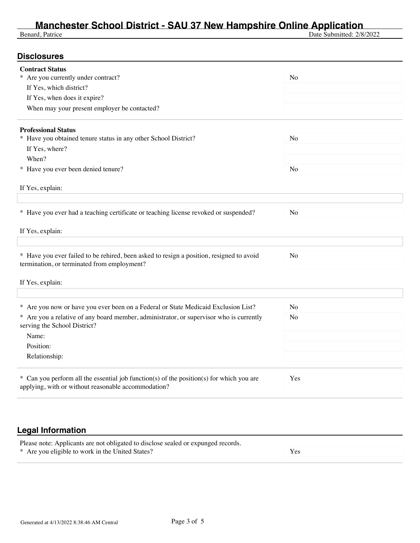## **Manchester School District - SAU 37 New Hampshire Online Application**

Benard, Patrice Date Submitted: 2/8/2022

| <b>Contract Status</b>                                                                                                                          |                |
|-------------------------------------------------------------------------------------------------------------------------------------------------|----------------|
| * Are you currently under contract?                                                                                                             | No             |
| If Yes, which district?                                                                                                                         |                |
| If Yes, when does it expire?                                                                                                                    |                |
| When may your present employer be contacted?                                                                                                    |                |
| <b>Professional Status</b>                                                                                                                      |                |
| * Have you obtained tenure status in any other School District?                                                                                 | No             |
| If Yes, where?                                                                                                                                  |                |
| When?                                                                                                                                           |                |
| * Have you ever been denied tenure?                                                                                                             | No             |
| If Yes, explain:                                                                                                                                |                |
|                                                                                                                                                 |                |
| * Have you ever had a teaching certificate or teaching license revoked or suspended?                                                            | N <sub>o</sub> |
|                                                                                                                                                 |                |
| If Yes, explain:                                                                                                                                |                |
|                                                                                                                                                 |                |
| * Have you ever failed to be rehired, been asked to resign a position, resigned to avoid<br>termination, or terminated from employment?         | N <sub>o</sub> |
| If Yes, explain:                                                                                                                                |                |
|                                                                                                                                                 |                |
| * Are you now or have you ever been on a Federal or State Medicaid Exclusion List?                                                              | No             |
| * Are you a relative of any board member, administrator, or supervisor who is currently<br>serving the School District?                         | No             |
| Name:                                                                                                                                           |                |
| Position:                                                                                                                                       |                |
| Relationship:                                                                                                                                   |                |
|                                                                                                                                                 |                |
| * Can you perform all the essential job function(s) of the position(s) for which you are<br>applying, with or without reasonable accommodation? | Yes            |
|                                                                                                                                                 |                |
|                                                                                                                                                 |                |

## **Legal Information**

| Please note: Applicants are not obligated to disclose sealed or expunged records. |  |
|-----------------------------------------------------------------------------------|--|
| * Are you eligible to work in the United States?                                  |  |
|                                                                                   |  |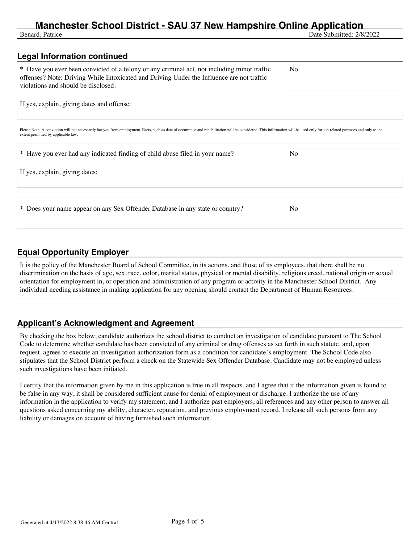## **Manchester School District - SAU 37 New Hampshire Online Application**<br><sup>Benard, Patrice</sup> Date Submitted: 2/8

Date Submitted: 2/8/2022

## **Legal Information continued**  \* Have you ever been convicted of a felony or any criminal act, not including minor traffic offenses? Note: Driving While Intoxicated and Driving Under the Influence are not traffic violations and should be disclosed. No If yes, explain, giving dates and offense: Please Note: A conviction will not necessarily bar you from employment. Facts, such as date of occurrence and rehabilitation will be considered. This information will be used only for job-related purposes and only to the extent permitted by applicable law. \* Have you ever had any indicated finding of child abuse filed in your name? No If yes, explain, giving dates: \* Does your name appear on any Sex Offender Database in any state or country? No

### **Equal Opportunity Employer**

It is the policy of the Manchester Board of School Committee, in its actions, and those of its employees, that there shall be no discrimination on the basis of age, sex, race, color, marital status, physical or mental disability, religious creed, national origin or sexual orientation for employment in, or operation and administration of any program or activity in the Manchester School District. Any individual needing assistance in making application for any opening should contact the Department of Human Resources.

### **Applicant's Acknowledgment and Agreement**

By checking the box below, candidate authorizes the school district to conduct an investigation of candidate pursuant to The School Code to determine whether candidate has been convicted of any criminal or drug offenses as set forth in such statute, and, upon request, agrees to execute an investigation authorization form as a condition for candidate's employment. The School Code also stipulates that the School District perform a check on the Statewide Sex Offender Database. Candidate may not be employed unless such investigations have been initiated.

I certify that the information given by me in this application is true in all respects, and I agree that if the information given is found to be false in any way, it shall be considered sufficient cause for denial of employment or discharge. I authorize the use of any information in the application to verify my statement, and I authorize past employers, all references and any other person to answer all questions asked concerning my ability, character, reputation, and previous employment record. I release all such persons from any liability or damages on account of having furnished such information.